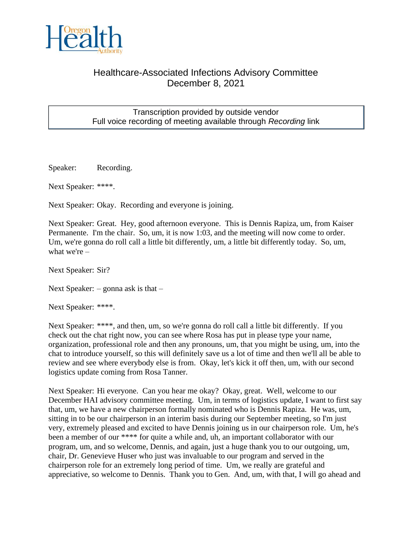

## Healthcare-Associated Infections Advisory Committee December 8, 2021

## Transcription provided by outside vendor Full voice recording of meeting available through *Recording* link

Speaker: Recording.

Next Speaker: \*\*\*\*.

Next Speaker: Okay. Recording and everyone is joining.

Next Speaker: Great. Hey, good afternoon everyone. This is Dennis Rapiza, um, from Kaiser Permanente. I'm the chair. So, um, it is now 1:03, and the meeting will now come to order. Um, we're gonna do roll call a little bit differently, um, a little bit differently today. So, um, what we're –

Next Speaker: Sir?

Next Speaker:  $-$  gonna ask is that  $-$ 

Next Speaker: \*\*\*\*.

Next Speaker: \*\*\*\*, and then, um, so we're gonna do roll call a little bit differently. If you check out the chat right now, you can see where Rosa has put in please type your name, organization, professional role and then any pronouns, um, that you might be using, um, into the chat to introduce yourself, so this will definitely save us a lot of time and then we'll all be able to review and see where everybody else is from. Okay, let's kick it off then, um, with our second logistics update coming from Rosa Tanner.

Next Speaker: Hi everyone. Can you hear me okay? Okay, great. Well, welcome to our December HAI advisory committee meeting. Um, in terms of logistics update, I want to first say that, um, we have a new chairperson formally nominated who is Dennis Rapiza. He was, um, sitting in to be our chairperson in an interim basis during our September meeting, so I'm just very, extremely pleased and excited to have Dennis joining us in our chairperson role. Um, he's been a member of our \*\*\*\* for quite a while and, uh, an important collaborator with our program, um, and so welcome, Dennis, and again, just a huge thank you to our outgoing, um, chair, Dr. Genevieve Huser who just was invaluable to our program and served in the chairperson role for an extremely long period of time. Um, we really are grateful and appreciative, so welcome to Dennis. Thank you to Gen. And, um, with that, I will go ahead and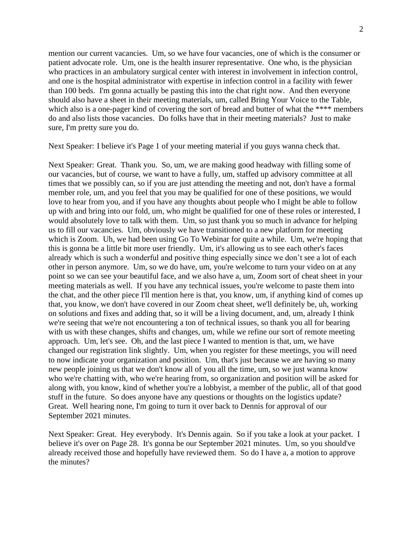mention our current vacancies. Um, so we have four vacancies, one of which is the consumer or patient advocate role. Um, one is the health insurer representative. One who, is the physician who practices in an ambulatory surgical center with interest in involvement in infection control, and one is the hospital administrator with expertise in infection control in a facility with fewer than 100 beds. I'm gonna actually be pasting this into the chat right now. And then everyone should also have a sheet in their meeting materials, um, called Bring Your Voice to the Table, which also is a one-pager kind of covering the sort of bread and butter of what the \*\*\*\* members do and also lists those vacancies. Do folks have that in their meeting materials? Just to make sure, I'm pretty sure you do.

Next Speaker: I believe it's Page 1 of your meeting material if you guys wanna check that.

Next Speaker: Great. Thank you. So, um, we are making good headway with filling some of our vacancies, but of course, we want to have a fully, um, staffed up advisory committee at all times that we possibly can, so if you are just attending the meeting and not, don't have a formal member role, um, and you feel that you may be qualified for one of these positions, we would love to hear from you, and if you have any thoughts about people who I might be able to follow up with and bring into our fold, um, who might be qualified for one of these roles or interested, I would absolutely love to talk with them. Um, so just thank you so much in advance for helping us to fill our vacancies. Um, obviously we have transitioned to a new platform for meeting which is Zoom. Uh, we had been using Go To Webinar for quite a while. Um, we're hoping that this is gonna be a little bit more user friendly. Um, it's allowing us to see each other's faces already which is such a wonderful and positive thing especially since we don't see a lot of each other in person anymore. Um, so we do have, um, you're welcome to turn your video on at any point so we can see your beautiful face, and we also have a, um, Zoom sort of cheat sheet in your meeting materials as well. If you have any technical issues, you're welcome to paste them into the chat, and the other piece I'll mention here is that, you know, um, if anything kind of comes up that, you know, we don't have covered in our Zoom cheat sheet, we'll definitely be, uh, working on solutions and fixes and adding that, so it will be a living document, and, um, already I think we're seeing that we're not encountering a ton of technical issues, so thank you all for bearing with us with these changes, shifts and changes, um, while we refine our sort of remote meeting approach. Um, let's see. Oh, and the last piece I wanted to mention is that, um, we have changed our registration link slightly. Um, when you register for these meetings, you will need to now indicate your organization and position. Um, that's just because we are having so many new people joining us that we don't know all of you all the time, um, so we just wanna know who we're chatting with, who we're hearing from, so organization and position will be asked for along with, you know, kind of whether you're a lobbyist, a member of the public, all of that good stuff in the future. So does anyone have any questions or thoughts on the logistics update? Great. Well hearing none, I'm going to turn it over back to Dennis for approval of our September 2021 minutes.

Next Speaker: Great. Hey everybody. It's Dennis again. So if you take a look at your packet. I believe it's over on Page 28. It's gonna be our September 2021 minutes. Um, so you should've already received those and hopefully have reviewed them. So do I have a, a motion to approve the minutes?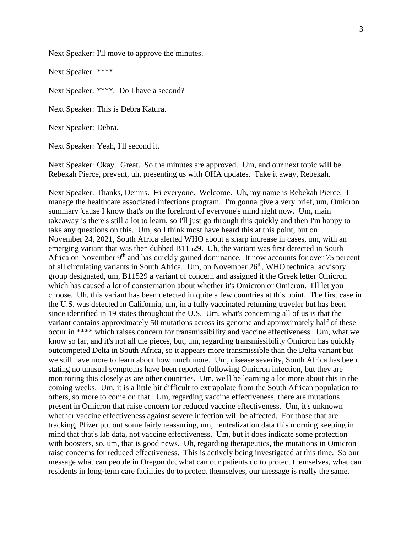Next Speaker: I'll move to approve the minutes.

Next Speaker: \*\*\*\*.

Next Speaker: \*\*\*\*. Do I have a second?

Next Speaker: This is Debra Katura.

Next Speaker: Debra.

Next Speaker: Yeah, I'll second it.

Next Speaker: Okay. Great. So the minutes are approved. Um, and our next topic will be Rebekah Pierce, prevent, uh, presenting us with OHA updates. Take it away, Rebekah.

Next Speaker: Thanks, Dennis. Hi everyone. Welcome. Uh, my name is Rebekah Pierce. I manage the healthcare associated infections program. I'm gonna give a very brief, um, Omicron summary 'cause I know that's on the forefront of everyone's mind right now. Um, main takeaway is there's still a lot to learn, so I'll just go through this quickly and then I'm happy to take any questions on this. Um, so I think most have heard this at this point, but on November 24, 2021, South Africa alerted WHO about a sharp increase in cases, um, with an emerging variant that was then dubbed B11529. Uh, the variant was first detected in South Africa on November 9<sup>th</sup> and has quickly gained dominance. It now accounts for over 75 percent of all circulating variants in South Africa. Um, on November 26<sup>th</sup>, WHO technical advisory group designated, um, B11529 a variant of concern and assigned it the Greek letter Omicron which has caused a lot of consternation about whether it's Omicron or Omicron. I'll let you choose. Uh, this variant has been detected in quite a few countries at this point. The first case in the U.S. was detected in California, um, in a fully vaccinated returning traveler but has been since identified in 19 states throughout the U.S. Um, what's concerning all of us is that the variant contains approximately 50 mutations across its genome and approximately half of these occur in \*\*\*\* which raises concern for transmissibility and vaccine effectiveness. Um, what we know so far, and it's not all the pieces, but, um, regarding transmissibility Omicron has quickly outcompeted Delta in South Africa, so it appears more transmissible than the Delta variant but we still have more to learn about how much more. Um, disease severity, South Africa has been stating no unusual symptoms have been reported following Omicron infection, but they are monitoring this closely as are other countries. Um, we'll be learning a lot more about this in the coming weeks. Um, it is a little bit difficult to extrapolate from the South African population to others, so more to come on that. Um, regarding vaccine effectiveness, there are mutations present in Omicron that raise concern for reduced vaccine effectiveness. Um, it's unknown whether vaccine effectiveness against severe infection will be affected. For those that are tracking, Pfizer put out some fairly reassuring, um, neutralization data this morning keeping in mind that that's lab data, not vaccine effectiveness. Um, but it does indicate some protection with boosters, so, um, that is good news. Uh, regarding therapeutics, the mutations in Omicron raise concerns for reduced effectiveness. This is actively being investigated at this time. So our message what can people in Oregon do, what can our patients do to protect themselves, what can residents in long-term care facilities do to protect themselves, our message is really the same.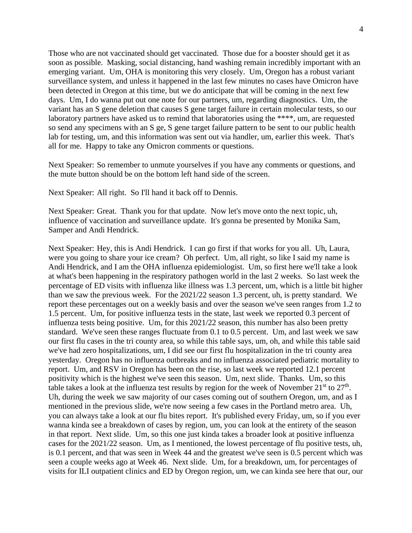Those who are not vaccinated should get vaccinated. Those due for a booster should get it as soon as possible. Masking, social distancing, hand washing remain incredibly important with an emerging variant. Um, OHA is monitoring this very closely. Um, Oregon has a robust variant surveillance system, and unless it happened in the last few minutes no cases have Omicron have been detected in Oregon at this time, but we do anticipate that will be coming in the next few days. Um, I do wanna put out one note for our partners, um, regarding diagnostics. Um, the variant has an S gene deletion that causes S gene target failure in certain molecular tests, so our laboratory partners have asked us to remind that laboratories using the \*\*\*\*, um, are requested so send any specimens with an S ge, S gene target failure pattern to be sent to our public health lab for testing, um, and this information was sent out via handler, um, earlier this week. That's all for me. Happy to take any Omicron comments or questions.

Next Speaker: So remember to unmute yourselves if you have any comments or questions, and the mute button should be on the bottom left hand side of the screen.

Next Speaker: All right. So I'll hand it back off to Dennis.

Next Speaker: Great. Thank you for that update. Now let's move onto the next topic, uh, influence of vaccination and surveillance update. It's gonna be presented by Monika Sam, Samper and Andi Hendrick.

Next Speaker: Hey, this is Andi Hendrick. I can go first if that works for you all. Uh, Laura, were you going to share your ice cream? Oh perfect. Um, all right, so like I said my name is Andi Hendrick, and I am the OHA influenza epidemiologist. Um, so first here we'll take a look at what's been happening in the respiratory pathogen world in the last 2 weeks. So last week the percentage of ED visits with influenza like illness was 1.3 percent, um, which is a little bit higher than we saw the previous week. For the 2021/22 season 1.3 percent, uh, is pretty standard. We report these percentages out on a weekly basis and over the season we've seen ranges from 1.2 to 1.5 percent. Um, for positive influenza tests in the state, last week we reported 0.3 percent of influenza tests being positive. Um, for this 2021/22 season, this number has also been pretty standard. We've seen these ranges fluctuate from 0.1 to 0.5 percent. Um, and last week we saw our first flu cases in the tri county area, so while this table says, um, oh, and while this table said we've had zero hospitalizations, um, I did see our first flu hospitalization in the tri county area yesterday. Oregon has no influenza outbreaks and no influenza associated pediatric mortality to report. Um, and RSV in Oregon has been on the rise, so last week we reported 12.1 percent positivity which is the highest we've seen this season. Um, next slide. Thanks. Um, so this table takes a look at the influenza test results by region for the week of November  $21^{st}$  to  $27^{th}$ . Uh, during the week we saw majority of our cases coming out of southern Oregon, um, and as I mentioned in the previous slide, we're now seeing a few cases in the Portland metro area. Uh, you can always take a look at our flu bites report. It's published every Friday, um, so if you ever wanna kinda see a breakdown of cases by region, um, you can look at the entirety of the season in that report. Next slide. Um, so this one just kinda takes a broader look at positive influenza cases for the 2021/22 season. Um, as I mentioned, the lowest percentage of flu positive tests, uh, is 0.1 percent, and that was seen in Week 44 and the greatest we've seen is 0.5 percent which was seen a couple weeks ago at Week 46. Next slide. Um, for a breakdown, um, for percentages of visits for ILI outpatient clinics and ED by Oregon region, um, we can kinda see here that our, our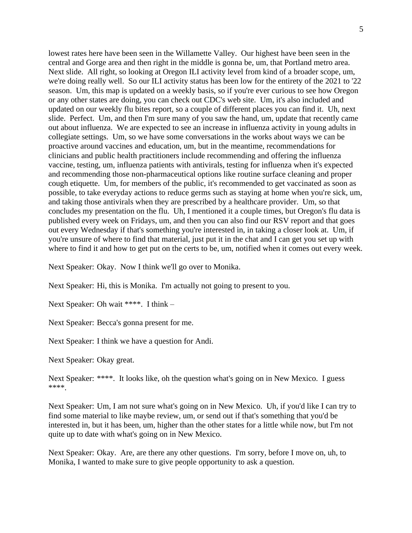lowest rates here have been seen in the Willamette Valley. Our highest have been seen in the central and Gorge area and then right in the middle is gonna be, um, that Portland metro area. Next slide. All right, so looking at Oregon ILI activity level from kind of a broader scope, um, we're doing really well. So our ILI activity status has been low for the entirety of the 2021 to '22 season. Um, this map is updated on a weekly basis, so if you're ever curious to see how Oregon or any other states are doing, you can check out CDC's web site. Um, it's also included and updated on our weekly flu bites report, so a couple of different places you can find it. Uh, next slide. Perfect. Um, and then I'm sure many of you saw the hand, um, update that recently came out about influenza. We are expected to see an increase in influenza activity in young adults in collegiate settings. Um, so we have some conversations in the works about ways we can be proactive around vaccines and education, um, but in the meantime, recommendations for clinicians and public health practitioners include recommending and offering the influenza vaccine, testing, um, influenza patients with antivirals, testing for influenza when it's expected and recommending those non-pharmaceutical options like routine surface cleaning and proper cough etiquette. Um, for members of the public, it's recommended to get vaccinated as soon as possible, to take everyday actions to reduce germs such as staying at home when you're sick, um, and taking those antivirals when they are prescribed by a healthcare provider. Um, so that concludes my presentation on the flu. Uh, I mentioned it a couple times, but Oregon's flu data is published every week on Fridays, um, and then you can also find our RSV report and that goes out every Wednesday if that's something you're interested in, in taking a closer look at. Um, if you're unsure of where to find that material, just put it in the chat and I can get you set up with where to find it and how to get put on the certs to be, um, notified when it comes out every week.

Next Speaker: Okay. Now I think we'll go over to Monika.

Next Speaker: Hi, this is Monika. I'm actually not going to present to you.

Next Speaker: Oh wait \*\*\*\*. I think –

Next Speaker: Becca's gonna present for me.

Next Speaker: I think we have a question for Andi.

Next Speaker: Okay great.

Next Speaker: \*\*\*\*. It looks like, oh the question what's going on in New Mexico. I guess \*\*\*\*.

Next Speaker: Um, I am not sure what's going on in New Mexico. Uh, if you'd like I can try to find some material to like maybe review, um, or send out if that's something that you'd be interested in, but it has been, um, higher than the other states for a little while now, but I'm not quite up to date with what's going on in New Mexico.

Next Speaker: Okay. Are, are there any other questions. I'm sorry, before I move on, uh, to Monika, I wanted to make sure to give people opportunity to ask a question.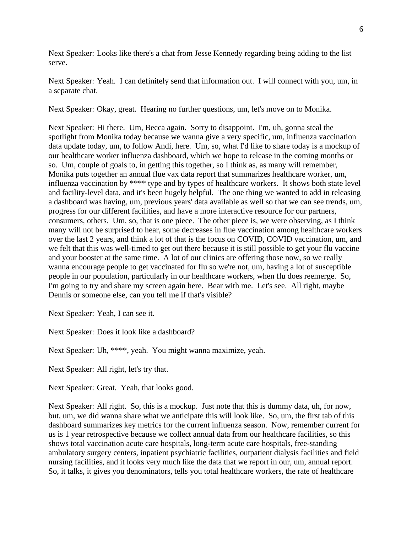Next Speaker: Looks like there's a chat from Jesse Kennedy regarding being adding to the list serve.

Next Speaker: Yeah. I can definitely send that information out. I will connect with you, um, in a separate chat.

Next Speaker: Okay, great. Hearing no further questions, um, let's move on to Monika.

Next Speaker: Hi there. Um, Becca again. Sorry to disappoint. I'm, uh, gonna steal the spotlight from Monika today because we wanna give a very specific, um, influenza vaccination data update today, um, to follow Andi, here. Um, so, what I'd like to share today is a mockup of our healthcare worker influenza dashboard, which we hope to release in the coming months or so. Um, couple of goals to, in getting this together, so I think as, as many will remember, Monika puts together an annual flue vax data report that summarizes healthcare worker, um, influenza vaccination by \*\*\*\* type and by types of healthcare workers. It shows both state level and facility-level data, and it's been hugely helpful. The one thing we wanted to add in releasing a dashboard was having, um, previous years' data available as well so that we can see trends, um, progress for our different facilities, and have a more interactive resource for our partners, consumers, others. Um, so, that is one piece. The other piece is, we were observing, as I think many will not be surprised to hear, some decreases in flue vaccination among healthcare workers over the last 2 years, and think a lot of that is the focus on COVID, COVID vaccination, um, and we felt that this was well-timed to get out there because it is still possible to get your flu vaccine and your booster at the same time. A lot of our clinics are offering those now, so we really wanna encourage people to get vaccinated for flu so we're not, um, having a lot of susceptible people in our population, particularly in our healthcare workers, when flu does reemerge. So, I'm going to try and share my screen again here. Bear with me. Let's see. All right, maybe Dennis or someone else, can you tell me if that's visible?

Next Speaker: Yeah, I can see it.

Next Speaker: Does it look like a dashboard?

Next Speaker: Uh, \*\*\*\*, yeah. You might wanna maximize, yeah.

Next Speaker: All right, let's try that.

Next Speaker: Great. Yeah, that looks good.

Next Speaker: All right. So, this is a mockup. Just note that this is dummy data, uh, for now, but, um, we did wanna share what we anticipate this will look like. So, um, the first tab of this dashboard summarizes key metrics for the current influenza season. Now, remember current for us is 1 year retrospective because we collect annual data from our healthcare facilities, so this shows total vaccination acute care hospitals, long-term acute care hospitals, free-standing ambulatory surgery centers, inpatient psychiatric facilities, outpatient dialysis facilities and field nursing facilities, and it looks very much like the data that we report in our, um, annual report. So, it talks, it gives you denominators, tells you total healthcare workers, the rate of healthcare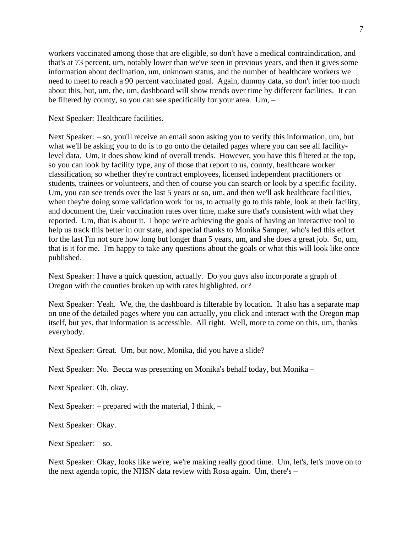workers vaccinated among those that are eligible, so don't have a medical contraindication, and that's at 73 percent, um, notably lower than we've seen in previous years, and then it gives some information about declination, um, unknown status, and the number of healthcare workers we need to meet to reach a 90 percent vaccinated goal. Again, dummy data, so don't infer too much about this, but, um, the, um, dashboard will show trends over time by different facilities. It can be filtered by county, so you can see specifically for your area. Um, –

Next Speaker: Healthcare facilities.

Next Speaker: – so, you'll receive an email soon asking you to verify this information, um, but what we'll be asking you to do is to go onto the detailed pages where you can see all facilitylevel data. Um, it does show kind of overall trends. However, you have this filtered at the top, so you can look by facility type, any of those that report to us, county, healthcare worker classification, so whether they're contract employees, licensed independent practitioners or students, trainees or volunteers, and then of course you can search or look by a specific facility. Um, you can see trends over the last 5 years or so, um, and then we'll ask healthcare facilities, when they're doing some validation work for us, to actually go to this table, look at their facility, and document the, their vaccination rates over time, make sure that's consistent with what they reported. Um, that is about it. I hope we're achieving the goals of having an interactive tool to help us track this better in our state, and special thanks to Monika Samper, who's led this effort for the last I'm not sure how long but longer than 5 years, um, and she does a great job. So, um, that is it for me. I'm happy to take any questions about the goals or what this will look like once published.

Next Speaker: I have a quick question, actually. Do you guys also incorporate a graph of Oregon with the counties broken up with rates highlighted, or?

Next Speaker: Yeah. We, the, the dashboard is filterable by location. It also has a separate map on one of the detailed pages where you can actually, you click and interact with the Oregon map itself, but yes, that information is accessible. All right. Well, more to come on this, um, thanks everybody.

Next Speaker: Great. Um, but now, Monika, did you have a slide?

Next Speaker: No. Becca was presenting on Monika's behalf today, but Monika –

Next Speaker: Oh, okay.

Next Speaker: – prepared with the material, I think, –

Next Speaker: Okay.

Next Speaker: – so.

Next Speaker: Okay, looks like we're, we're making really good time. Um, let's, let's move on to the next agenda topic, the NHSN data review with Rosa again. Um, there's –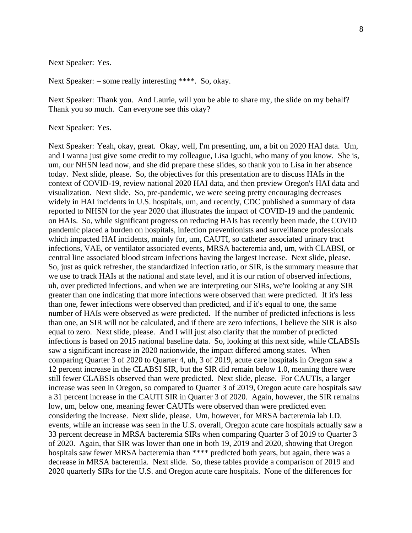Next Speaker: Yes.

Next Speaker: – some really interesting \*\*\*\*. So, okay.

Next Speaker: Thank you. And Laurie, will you be able to share my, the slide on my behalf? Thank you so much. Can everyone see this okay?

Next Speaker: Yes.

Next Speaker: Yeah, okay, great. Okay, well, I'm presenting, um, a bit on 2020 HAI data. Um, and I wanna just give some credit to my colleague, Lisa Iguchi, who many of you know. She is, um, our NHSN lead now, and she did prepare these slides, so thank you to Lisa in her absence today. Next slide, please. So, the objectives for this presentation are to discuss HAIs in the context of COVID-19, review national 2020 HAI data, and then preview Oregon's HAI data and visualization. Next slide. So, pre-pandemic, we were seeing pretty encouraging decreases widely in HAI incidents in U.S. hospitals, um, and recently, CDC published a summary of data reported to NHSN for the year 2020 that illustrates the impact of COVID-19 and the pandemic on HAIs. So, while significant progress on reducing HAIs has recently been made, the COVID pandemic placed a burden on hospitals, infection preventionists and surveillance professionals which impacted HAI incidents, mainly for, um, CAUTI, so catheter associated urinary tract infections, VAE, or ventilator associated events, MRSA bacteremia and, um, with CLABSI, or central line associated blood stream infections having the largest increase. Next slide, please. So, just as quick refresher, the standardized infection ratio, or SIR, is the summary measure that we use to track HAIs at the national and state level, and it is our ration of observed infections, uh, over predicted infections, and when we are interpreting our SIRs, we're looking at any SIR greater than one indicating that more infections were observed than were predicted. If it's less than one, fewer infections were observed than predicted, and if it's equal to one, the same number of HAIs were observed as were predicted. If the number of predicted infections is less than one, an SIR will not be calculated, and if there are zero infections, I believe the SIR is also equal to zero. Next slide, please. And I will just also clarify that the number of predicted infections is based on 2015 national baseline data. So, looking at this next side, while CLABSIs saw a significant increase in 2020 nationwide, the impact differed among states. When comparing Quarter 3 of 2020 to Quarter 4, uh, 3 of 2019, acute care hospitals in Oregon saw a 12 percent increase in the CLABSI SIR, but the SIR did remain below 1.0, meaning there were still fewer CLABSIs observed than were predicted. Next slide, please. For CAUTIs, a larger increase was seen in Oregon, so compared to Quarter 3 of 2019, Oregon acute care hospitals saw a 31 percent increase in the CAUTI SIR in Quarter 3 of 2020. Again, however, the SIR remains low, um, below one, meaning fewer CAUTIs were observed than were predicted even considering the increase. Next slide, please. Um, however, for MRSA bacteremia lab I.D. events, while an increase was seen in the U.S. overall, Oregon acute care hospitals actually saw a 33 percent decrease in MRSA bacteremia SIRs when comparing Quarter 3 of 2019 to Quarter 3 of 2020. Again, that SIR was lower than one in both 19, 2019 and 2020, showing that Oregon hospitals saw fewer MRSA bacteremia than \*\*\*\* predicted both years, but again, there was a decrease in MRSA bacteremia. Next slide. So, these tables provide a comparison of 2019 and 2020 quarterly SIRs for the U.S. and Oregon acute care hospitals. None of the differences for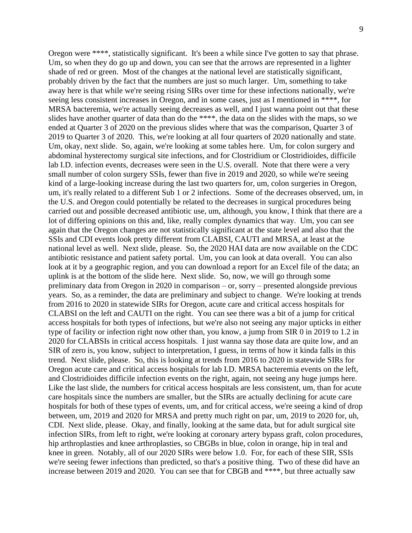Oregon were \*\*\*\*, statistically significant. It's been a while since I've gotten to say that phrase. Um, so when they do go up and down, you can see that the arrows are represented in a lighter shade of red or green. Most of the changes at the national level are statistically significant, probably driven by the fact that the numbers are just so much larger. Um, something to take away here is that while we're seeing rising SIRs over time for these infections nationally, we're seeing less consistent increases in Oregon, and in some cases, just as I mentioned in \*\*\*\*, for MRSA bacteremia, we're actually seeing decreases as well, and I just wanna point out that these slides have another quarter of data than do the \*\*\*\*, the data on the slides with the maps, so we ended at Quarter 3 of 2020 on the previous slides where that was the comparison, Quarter 3 of 2019 to Quarter 3 of 2020. This, we're looking at all four quarters of 2020 nationally and state. Um, okay, next slide. So, again, we're looking at some tables here. Um, for colon surgery and abdominal hysterectomy surgical site infections, and for Clostridium or Clostridioides, difficile lab I.D. infection events, decreases were seen in the U.S. overall. Note that there were a very small number of colon surgery SSIs, fewer than five in 2019 and 2020, so while we're seeing kind of a large-looking increase during the last two quarters for, um, colon surgeries in Oregon, um, it's really related to a different Sub 1 or 2 infections. Some of the decreases observed, um, in the U.S. and Oregon could potentially be related to the decreases in surgical procedures being carried out and possible decreased antibiotic use, um, although, you know, I think that there are a lot of differing opinions on this and, like, really complex dynamics that way. Um, you can see again that the Oregon changes are not statistically significant at the state level and also that the SSIs and CDI events look pretty different from CLABSI, CAUTI and MRSA, at least at the national level as well. Next slide, please. So, the 2020 HAI data are now available on the CDC antibiotic resistance and patient safety portal. Um, you can look at data overall. You can also look at it by a geographic region, and you can download a report for an Excel file of the data; an uplink is at the bottom of the slide here. Next slide. So, now, we will go through some preliminary data from Oregon in 2020 in comparison – or, sorry – presented alongside previous years. So, as a reminder, the data are preliminary and subject to change. We're looking at trends from 2016 to 2020 in statewide SIRs for Oregon, acute care and critical access hospitals for CLABSI on the left and CAUTI on the right. You can see there was a bit of a jump for critical access hospitals for both types of infections, but we're also not seeing any major upticks in either type of facility or infection right now other than, you know, a jump from SIR 0 in 2019 to 1.2 in 2020 for CLABSIs in critical access hospitals. I just wanna say those data are quite low, and an SIR of zero is, you know, subject to interpretation, I guess, in terms of how it kinda falls in this trend. Next slide, please. So, this is looking at trends from 2016 to 2020 in statewide SIRs for Oregon acute care and critical access hospitals for lab I.D. MRSA bacteremia events on the left, and Clostridioides difficile infection events on the right, again, not seeing any huge jumps here. Like the last slide, the numbers for critical access hospitals are less consistent, um, than for acute care hospitals since the numbers are smaller, but the SIRs are actually declining for acute care hospitals for both of these types of events, um, and for critical access, we're seeing a kind of drop between, um, 2019 and 2020 for MRSA and pretty much right on par, um, 2019 to 2020 for, uh, CDI. Next slide, please. Okay, and finally, looking at the same data, but for adult surgical site infection SIRs, from left to right, we're looking at coronary artery bypass graft, colon procedures, hip arthroplasties and knee arthroplasties, so CBGBs in blue, colon in orange, hip in teal and knee in green. Notably, all of our 2020 SIRs were below 1.0. For, for each of these SIR, SSIs we're seeing fewer infections than predicted, so that's a positive thing. Two of these did have an increase between 2019 and 2020. You can see that for CBGB and \*\*\*\*, but three actually saw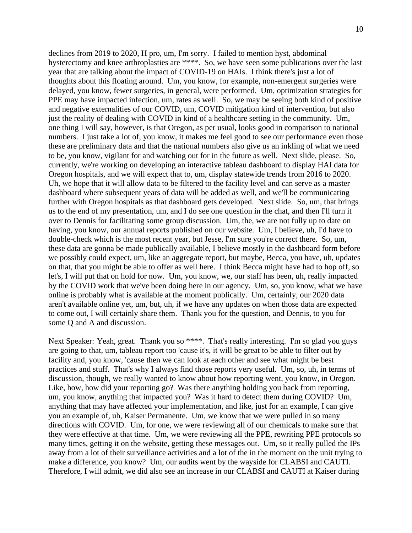declines from 2019 to 2020, H pro, um, I'm sorry. I failed to mention hyst, abdominal hysterectomy and knee arthroplasties are \*\*\*\*. So, we have seen some publications over the last year that are talking about the impact of COVID-19 on HAIs. I think there's just a lot of thoughts about this floating around. Um, you know, for example, non-emergent surgeries were delayed, you know, fewer surgeries, in general, were performed. Um, optimization strategies for PPE may have impacted infection, um, rates as well. So, we may be seeing both kind of positive and negative externalities of our COVID, um, COVID mitigation kind of intervention, but also just the reality of dealing with COVID in kind of a healthcare setting in the community. Um, one thing I will say, however, is that Oregon, as per usual, looks good in comparison to national numbers. I just take a lot of, you know, it makes me feel good to see our performance even those these are preliminary data and that the national numbers also give us an inkling of what we need to be, you know, vigilant for and watching out for in the future as well. Next slide, please. So, currently, we're working on developing an interactive tableau dashboard to display HAI data for Oregon hospitals, and we will expect that to, um, display statewide trends from 2016 to 2020. Uh, we hope that it will allow data to be filtered to the facility level and can serve as a master dashboard where subsequent years of data will be added as well, and we'll be communicating further with Oregon hospitals as that dashboard gets developed. Next slide. So, um, that brings us to the end of my presentation, um, and I do see one question in the chat, and then I'll turn it over to Dennis for facilitating some group discussion. Um, the, we are not fully up to date on having, you know, our annual reports published on our website. Um, I believe, uh, I'd have to double-check which is the most recent year, but Jesse, I'm sure you're correct there. So, um, these data are gonna be made publically available, I believe mostly in the dashboard form before we possibly could expect, um, like an aggregate report, but maybe, Becca, you have, uh, updates on that, that you might be able to offer as well here. I think Becca might have had to hop off, so let's, I will put that on hold for now. Um, you know, we, our staff has been, uh, really impacted by the COVID work that we've been doing here in our agency. Um, so, you know, what we have online is probably what is available at the moment publically. Um, certainly, our 2020 data aren't available online yet, um, but, uh, if we have any updates on when those data are expected to come out, I will certainly share them. Thank you for the question, and Dennis, to you for some Q and A and discussion.

Next Speaker: Yeah, great. Thank you so \*\*\*\*. That's really interesting. I'm so glad you guys are going to that, um, tableau report too 'cause it's, it will be great to be able to filter out by facility and, you know, 'cause then we can look at each other and see what might be best practices and stuff. That's why I always find those reports very useful. Um, so, uh, in terms of discussion, though, we really wanted to know about how reporting went, you know, in Oregon. Like, how, how did your reporting go? Was there anything holding you back from reporting, um, you know, anything that impacted you? Was it hard to detect them during COVID? Um, anything that may have affected your implementation, and like, just for an example, I can give you an example of, uh, Kaiser Permanente. Um, we know that we were pulled in so many directions with COVID. Um, for one, we were reviewing all of our chemicals to make sure that they were effective at that time. Um, we were reviewing all the PPE, rewriting PPE protocols so many times, getting it on the website, getting these messages out. Um, so it really pulled the IPs away from a lot of their surveillance activities and a lot of the in the moment on the unit trying to make a difference, you know? Um, our audits went by the wayside for CLABSI and CAUTI. Therefore, I will admit, we did also see an increase in our CLABSI and CAUTI at Kaiser during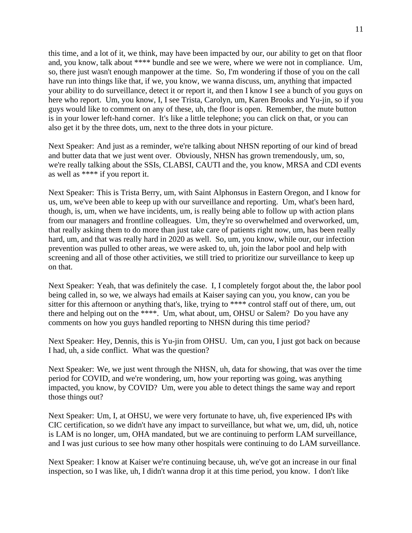this time, and a lot of it, we think, may have been impacted by our, our ability to get on that floor and, you know, talk about \*\*\*\* bundle and see we were, where we were not in compliance. Um, so, there just wasn't enough manpower at the time. So, I'm wondering if those of you on the call have run into things like that, if we, you know, we wanna discuss, um, anything that impacted your ability to do surveillance, detect it or report it, and then I know I see a bunch of you guys on here who report. Um, you know, I, I see Trista, Carolyn, um, Karen Brooks and Yu-jin, so if you guys would like to comment on any of these, uh, the floor is open. Remember, the mute button is in your lower left-hand corner. It's like a little telephone; you can click on that, or you can also get it by the three dots, um, next to the three dots in your picture.

Next Speaker: And just as a reminder, we're talking about NHSN reporting of our kind of bread and butter data that we just went over. Obviously, NHSN has grown tremendously, um, so, we're really talking about the SSIs, CLABSI, CAUTI and the, you know, MRSA and CDI events as well as \*\*\*\* if you report it.

Next Speaker: This is Trista Berry, um, with Saint Alphonsus in Eastern Oregon, and I know for us, um, we've been able to keep up with our surveillance and reporting. Um, what's been hard, though, is, um, when we have incidents, um, is really being able to follow up with action plans from our managers and frontline colleagues. Um, they're so overwhelmed and overworked, um, that really asking them to do more than just take care of patients right now, um, has been really hard, um, and that was really hard in 2020 as well. So, um, you know, while our, our infection prevention was pulled to other areas, we were asked to, uh, join the labor pool and help with screening and all of those other activities, we still tried to prioritize our surveillance to keep up on that.

Next Speaker: Yeah, that was definitely the case. I, I completely forgot about the, the labor pool being called in, so we, we always had emails at Kaiser saying can you, you know, can you be sitter for this afternoon or anything that's, like, trying to \*\*\*\* control staff out of there, um, out there and helping out on the \*\*\*\*. Um, what about, um, OHSU or Salem? Do you have any comments on how you guys handled reporting to NHSN during this time period?

Next Speaker: Hey, Dennis, this is Yu-jin from OHSU. Um, can you, I just got back on because I had, uh, a side conflict. What was the question?

Next Speaker: We, we just went through the NHSN, uh, data for showing, that was over the time period for COVID, and we're wondering, um, how your reporting was going, was anything impacted, you know, by COVID? Um, were you able to detect things the same way and report those things out?

Next Speaker: Um, I, at OHSU, we were very fortunate to have, uh, five experienced IPs with CIC certification, so we didn't have any impact to surveillance, but what we, um, did, uh, notice is LAM is no longer, um, OHA mandated, but we are continuing to perform LAM surveillance, and I was just curious to see how many other hospitals were continuing to do LAM surveillance.

Next Speaker: I know at Kaiser we're continuing because, uh, we've got an increase in our final inspection, so I was like, uh, I didn't wanna drop it at this time period, you know. I don't like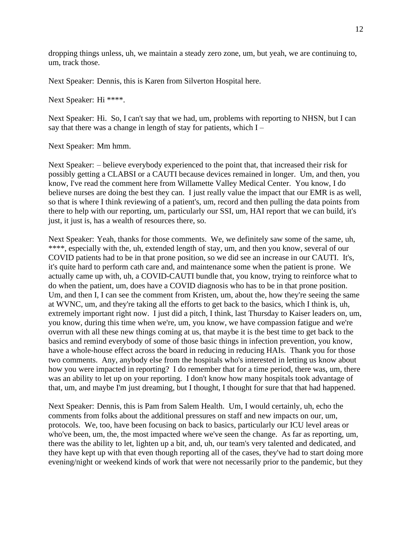dropping things unless, uh, we maintain a steady zero zone, um, but yeah, we are continuing to, um, track those.

Next Speaker: Dennis, this is Karen from Silverton Hospital here.

Next Speaker: Hi \*\*\*\*.

Next Speaker: Hi. So, I can't say that we had, um, problems with reporting to NHSN, but I can say that there was a change in length of stay for patients, which  $I -$ 

Next Speaker: Mm hmm.

Next Speaker: – believe everybody experienced to the point that, that increased their risk for possibly getting a CLABSI or a CAUTI because devices remained in longer. Um, and then, you know, I've read the comment here from Willamette Valley Medical Center. You know, I do believe nurses are doing the best they can. I just really value the impact that our EMR is as well, so that is where I think reviewing of a patient's, um, record and then pulling the data points from there to help with our reporting, um, particularly our SSI, um, HAI report that we can build, it's just, it just is, has a wealth of resources there, so.

Next Speaker: Yeah, thanks for those comments. We, we definitely saw some of the same, uh, \*\*\*\*, especially with the, uh, extended length of stay, um, and then you know, several of our COVID patients had to be in that prone position, so we did see an increase in our CAUTI. It's, it's quite hard to perform cath care and, and maintenance some when the patient is prone. We actually came up with, uh, a COVID-CAUTI bundle that, you know, trying to reinforce what to do when the patient, um, does have a COVID diagnosis who has to be in that prone position. Um, and then I, I can see the comment from Kristen, um, about the, how they're seeing the same at WVNC, um, and they're taking all the efforts to get back to the basics, which I think is, uh, extremely important right now. I just did a pitch, I think, last Thursday to Kaiser leaders on, um, you know, during this time when we're, um, you know, we have compassion fatigue and we're overrun with all these new things coming at us, that maybe it is the best time to get back to the basics and remind everybody of some of those basic things in infection prevention, you know, have a whole-house effect across the board in reducing in reducing HAIs. Thank you for those two comments. Any, anybody else from the hospitals who's interested in letting us know about how you were impacted in reporting? I do remember that for a time period, there was, um, there was an ability to let up on your reporting. I don't know how many hospitals took advantage of that, um, and maybe I'm just dreaming, but I thought, I thought for sure that that had happened.

Next Speaker: Dennis, this is Pam from Salem Health. Um, I would certainly, uh, echo the comments from folks about the additional pressures on staff and new impacts on our, um, protocols. We, too, have been focusing on back to basics, particularly our ICU level areas or who've been, um, the, the most impacted where we've seen the change. As far as reporting, um, there was the ability to let, lighten up a bit, and, uh, our team's very talented and dedicated, and they have kept up with that even though reporting all of the cases, they've had to start doing more evening/night or weekend kinds of work that were not necessarily prior to the pandemic, but they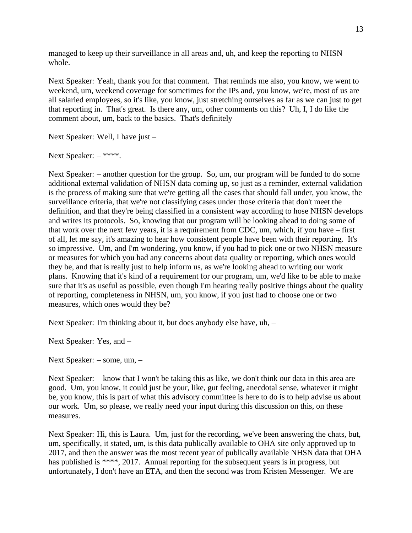managed to keep up their surveillance in all areas and, uh, and keep the reporting to NHSN whole.

Next Speaker: Yeah, thank you for that comment. That reminds me also, you know, we went to weekend, um, weekend coverage for sometimes for the IPs and, you know, we're, most of us are all salaried employees, so it's like, you know, just stretching ourselves as far as we can just to get that reporting in. That's great. Is there any, um, other comments on this? Uh, I, I do like the comment about, um, back to the basics. That's definitely –

Next Speaker: Well, I have just –

Next Speaker: – \*\*\*\*.

Next Speaker: – another question for the group. So, um, our program will be funded to do some additional external validation of NHSN data coming up, so just as a reminder, external validation is the process of making sure that we're getting all the cases that should fall under, you know, the surveillance criteria, that we're not classifying cases under those criteria that don't meet the definition, and that they're being classified in a consistent way according to hose NHSN develops and writes its protocols. So, knowing that our program will be looking ahead to doing some of that work over the next few years, it is a requirement from CDC, um, which, if you have – first of all, let me say, it's amazing to hear how consistent people have been with their reporting. It's so impressive. Um, and I'm wondering, you know, if you had to pick one or two NHSN measure or measures for which you had any concerns about data quality or reporting, which ones would they be, and that is really just to help inform us, as we're looking ahead to writing our work plans. Knowing that it's kind of a requirement for our program, um, we'd like to be able to make sure that it's as useful as possible, even though I'm hearing really positive things about the quality of reporting, completeness in NHSN, um, you know, if you just had to choose one or two measures, which ones would they be?

Next Speaker: I'm thinking about it, but does anybody else have, uh, –

Next Speaker: Yes, and –

Next Speaker: – some, um, –

Next Speaker: – know that I won't be taking this as like, we don't think our data in this area are good. Um, you know, it could just be your, like, gut feeling, anecdotal sense, whatever it might be, you know, this is part of what this advisory committee is here to do is to help advise us about our work. Um, so please, we really need your input during this discussion on this, on these measures.

Next Speaker: Hi, this is Laura. Um, just for the recording, we've been answering the chats, but, um, specifically, it stated, um, is this data publically available to OHA site only approved up to 2017, and then the answer was the most recent year of publically available NHSN data that OHA has published is \*\*\*\*, 2017. Annual reporting for the subsequent years is in progress, but unfortunately, I don't have an ETA, and then the second was from Kristen Messenger. We are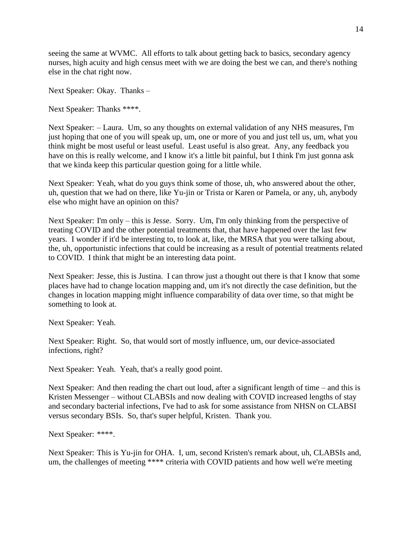seeing the same at WVMC. All efforts to talk about getting back to basics, secondary agency nurses, high acuity and high census meet with we are doing the best we can, and there's nothing else in the chat right now.

Next Speaker: Okay. Thanks –

Next Speaker: Thanks \*\*\*\*.

Next Speaker: – Laura. Um, so any thoughts on external validation of any NHS measures, I'm just hoping that one of you will speak up, um, one or more of you and just tell us, um, what you think might be most useful or least useful. Least useful is also great. Any, any feedback you have on this is really welcome, and I know it's a little bit painful, but I think I'm just gonna ask that we kinda keep this particular question going for a little while.

Next Speaker: Yeah, what do you guys think some of those, uh, who answered about the other, uh, question that we had on there, like Yu-jin or Trista or Karen or Pamela, or any, uh, anybody else who might have an opinion on this?

Next Speaker: I'm only – this is Jesse. Sorry. Um, I'm only thinking from the perspective of treating COVID and the other potential treatments that, that have happened over the last few years. I wonder if it'd be interesting to, to look at, like, the MRSA that you were talking about, the, uh, opportunistic infections that could be increasing as a result of potential treatments related to COVID. I think that might be an interesting data point.

Next Speaker: Jesse, this is Justina. I can throw just a thought out there is that I know that some places have had to change location mapping and, um it's not directly the case definition, but the changes in location mapping might influence comparability of data over time, so that might be something to look at.

Next Speaker: Yeah.

Next Speaker: Right. So, that would sort of mostly influence, um, our device-associated infections, right?

Next Speaker: Yeah. Yeah, that's a really good point.

Next Speaker: And then reading the chart out loud, after a significant length of time – and this is Kristen Messenger – without CLABSIs and now dealing with COVID increased lengths of stay and secondary bacterial infections, I've had to ask for some assistance from NHSN on CLABSI versus secondary BSIs. So, that's super helpful, Kristen. Thank you.

Next Speaker: \*\*\*\*.

Next Speaker: This is Yu-jin for OHA. I, um, second Kristen's remark about, uh, CLABSIs and, um, the challenges of meeting \*\*\*\* criteria with COVID patients and how well we're meeting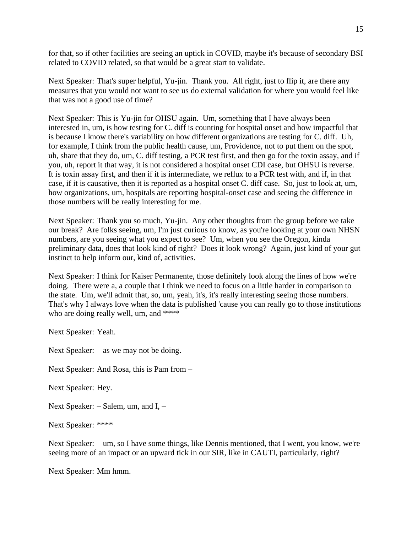for that, so if other facilities are seeing an uptick in COVID, maybe it's because of secondary BSI related to COVID related, so that would be a great start to validate.

Next Speaker: That's super helpful, Yu-jin. Thank you. All right, just to flip it, are there any measures that you would not want to see us do external validation for where you would feel like that was not a good use of time?

Next Speaker: This is Yu-jin for OHSU again. Um, something that I have always been interested in, um, is how testing for C. diff is counting for hospital onset and how impactful that is because I know there's variability on how different organizations are testing for C. diff. Uh, for example, I think from the public health cause, um, Providence, not to put them on the spot, uh, share that they do, um, C. diff testing, a PCR test first, and then go for the toxin assay, and if you, uh, report it that way, it is not considered a hospital onset CDI case, but OHSU is reverse. It is toxin assay first, and then if it is intermediate, we reflux to a PCR test with, and if, in that case, if it is causative, then it is reported as a hospital onset C. diff case. So, just to look at, um, how organizations, um, hospitals are reporting hospital-onset case and seeing the difference in those numbers will be really interesting for me.

Next Speaker: Thank you so much, Yu-jin. Any other thoughts from the group before we take our break? Are folks seeing, um, I'm just curious to know, as you're looking at your own NHSN numbers, are you seeing what you expect to see? Um, when you see the Oregon, kinda preliminary data, does that look kind of right? Does it look wrong? Again, just kind of your gut instinct to help inform our, kind of, activities.

Next Speaker: I think for Kaiser Permanente, those definitely look along the lines of how we're doing. There were a, a couple that I think we need to focus on a little harder in comparison to the state. Um, we'll admit that, so, um, yeah, it's, it's really interesting seeing those numbers. That's why I always love when the data is published 'cause you can really go to those institutions who are doing really well, um, and \*\*\*\* –

Next Speaker: Yeah.

Next Speaker: – as we may not be doing.

Next Speaker: And Rosa, this is Pam from –

Next Speaker: Hey.

Next Speaker: – Salem, um, and I, –

Next Speaker: \*\*\*\*

Next Speaker: – um, so I have some things, like Dennis mentioned, that I went, you know, we're seeing more of an impact or an upward tick in our SIR, like in CAUTI, particularly, right?

Next Speaker: Mm hmm.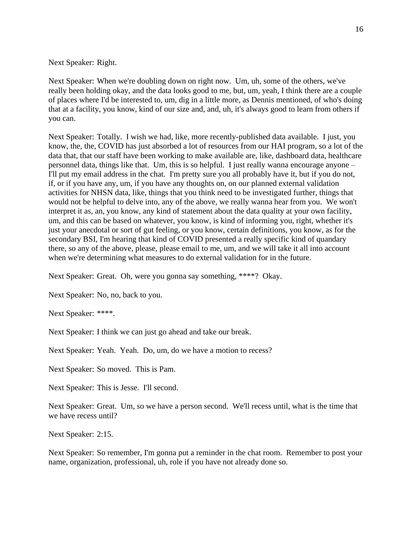Next Speaker: Right.

Next Speaker: When we're doubling down on right now. Um, uh, some of the others, we've really been holding okay, and the data looks good to me, but, um, yeah, I think there are a couple of places where I'd be interested to, um, dig in a little more, as Dennis mentioned, of who's doing that at a facility, you know, kind of our size and, and, uh, it's always good to learn from others if you can.

Next Speaker: Totally. I wish we had, like, more recently-published data available. I just, you know, the, the, COVID has just absorbed a lot of resources from our HAI program, so a lot of the data that, that our staff have been working to make available are, like, dashboard data, healthcare personnel data, things like that. Um, this is so helpful. I just really wanna encourage anyone – I'll put my email address in the chat. I'm pretty sure you all probably have it, but if you do not, if, or if you have any, um, if you have any thoughts on, on our planned external validation activities for NHSN data, like, things that you think need to be investigated further, things that would not be helpful to delve into, any of the above, we really wanna hear from you. We won't interpret it as, an, you know, any kind of statement about the data quality at your own facility, um, and this can be based on whatever, you know, is kind of informing you, right, whether it's just your anecdotal or sort of gut feeling, or you know, certain definitions, you know, as for the secondary BSI, I'm hearing that kind of COVID presented a really specific kind of quandary there, so any of the above, please, please email to me, um, and we will take it all into account when we're determining what measures to do external validation for in the future.

Next Speaker: Great. Oh, were you gonna say something, \*\*\*\*? Okay.

Next Speaker: No, no, back to you.

Next Speaker: \*\*\*\*.

Next Speaker: I think we can just go ahead and take our break.

Next Speaker: Yeah. Yeah. Do, um, do we have a motion to recess?

Next Speaker: So moved. This is Pam.

Next Speaker: This is Jesse. I'll second.

Next Speaker: Great. Um, so we have a person second. We'll recess until, what is the time that we have recess until?

Next Speaker: 2:15.

Next Speaker: So remember, I'm gonna put a reminder in the chat room. Remember to post your name, organization, professional, uh, role if you have not already done so.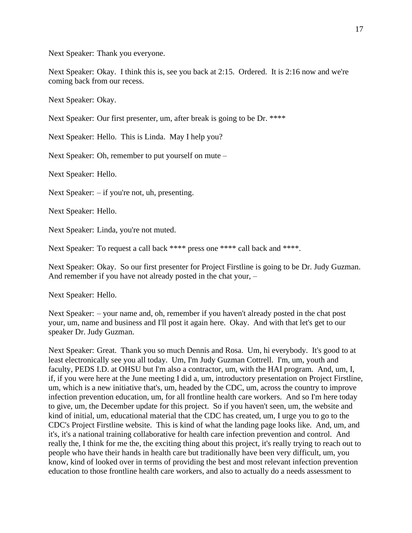Next Speaker: Thank you everyone.

Next Speaker: Okay. I think this is, see you back at 2:15. Ordered. It is 2:16 now and we're coming back from our recess.

Next Speaker: Okay.

Next Speaker: Our first presenter, um, after break is going to be Dr. \*\*\*\*

Next Speaker: Hello. This is Linda. May I help you?

Next Speaker: Oh, remember to put yourself on mute –

Next Speaker: Hello.

Next Speaker: – if you're not, uh, presenting.

Next Speaker: Hello.

Next Speaker: Linda, you're not muted.

Next Speaker: To request a call back \*\*\*\* press one \*\*\*\* call back and \*\*\*\*.

Next Speaker: Okay. So our first presenter for Project Firstline is going to be Dr. Judy Guzman. And remember if you have not already posted in the chat your, –

Next Speaker: Hello.

Next Speaker: – your name and, oh, remember if you haven't already posted in the chat post your, um, name and business and I'll post it again here. Okay. And with that let's get to our speaker Dr. Judy Guzman.

Next Speaker: Great. Thank you so much Dennis and Rosa. Um, hi everybody. It's good to at least electronically see you all today. Um, I'm Judy Guzman Cottrell. I'm, um, youth and faculty, PEDS I.D. at OHSU but I'm also a contractor, um, with the HAI program. And, um, I, if, if you were here at the June meeting I did a, um, introductory presentation on Project Firstline, um, which is a new initiative that's, um, headed by the CDC, um, across the country to improve infection prevention education, um, for all frontline health care workers. And so I'm here today to give, um, the December update for this project. So if you haven't seen, um, the website and kind of initial, um, educational material that the CDC has created, um, I urge you to go to the CDC's Project Firstline website. This is kind of what the landing page looks like. And, um, and it's, it's a national training collaborative for health care infection prevention and control. And really the, I think for me the, the exciting thing about this project, it's really trying to reach out to people who have their hands in health care but traditionally have been very difficult, um, you know, kind of looked over in terms of providing the best and most relevant infection prevention education to those frontline health care workers, and also to actually do a needs assessment to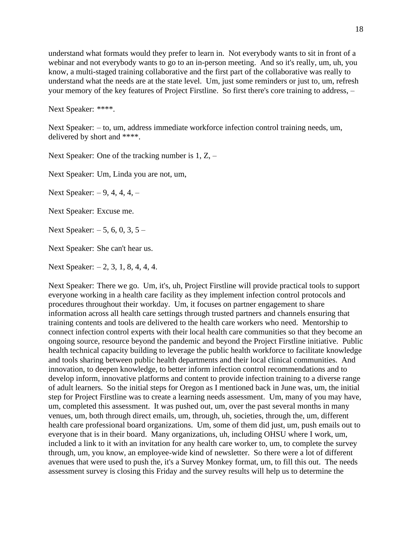understand what formats would they prefer to learn in. Not everybody wants to sit in front of a webinar and not everybody wants to go to an in-person meeting. And so it's really, um, uh, you know, a multi-staged training collaborative and the first part of the collaborative was really to understand what the needs are at the state level. Um, just some reminders or just to, um, refresh your memory of the key features of Project Firstline. So first there's core training to address, –

Next Speaker: \*\*\*\*.

Next Speaker: – to, um, address immediate workforce infection control training needs, um, delivered by short and \*\*\*\*.

Next Speaker: One of the tracking number is 1, Z, –

Next Speaker: Um, Linda you are not, um,

Next Speaker: – 9, 4, 4, 4, –

Next Speaker: Excuse me.

Next Speaker: – 5, 6, 0, 3, 5 –

Next Speaker: She can't hear us.

Next Speaker: – 2, 3, 1, 8, 4, 4, 4.

Next Speaker: There we go. Um, it's, uh, Project Firstline will provide practical tools to support everyone working in a health care facility as they implement infection control protocols and procedures throughout their workday. Um, it focuses on partner engagement to share information across all health care settings through trusted partners and channels ensuring that training contents and tools are delivered to the health care workers who need. Mentorship to connect infection control experts with their local health care communities so that they become an ongoing source, resource beyond the pandemic and beyond the Project Firstline initiative. Public health technical capacity building to leverage the public health workforce to facilitate knowledge and tools sharing between public health departments and their local clinical communities. And innovation, to deepen knowledge, to better inform infection control recommendations and to develop inform, innovative platforms and content to provide infection training to a diverse range of adult learners. So the initial steps for Oregon as I mentioned back in June was, um, the initial step for Project Firstline was to create a learning needs assessment. Um, many of you may have, um, completed this assessment. It was pushed out, um, over the past several months in many venues, um, both through direct emails, um, through, uh, societies, through the, um, different health care professional board organizations. Um, some of them did just, um, push emails out to everyone that is in their board. Many organizations, uh, including OHSU where I work, um, included a link to it with an invitation for any health care worker to, um, to complete the survey through, um, you know, an employee-wide kind of newsletter. So there were a lot of different avenues that were used to push the, it's a Survey Monkey format, um, to fill this out. The needs assessment survey is closing this Friday and the survey results will help us to determine the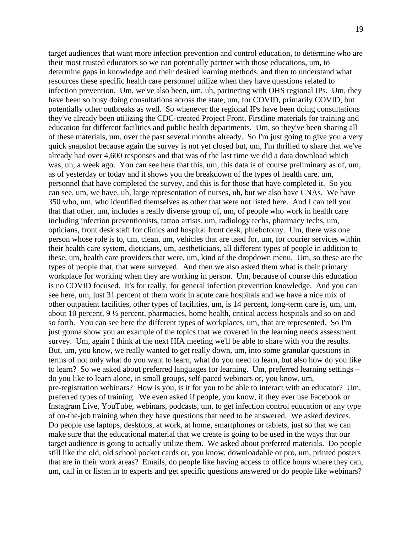target audiences that want more infection prevention and control education, to determine who are their most trusted educators so we can potentially partner with those educations, um, to determine gaps in knowledge and their desired learning methods, and then to understand what resources these specific health care personnel utilize when they have questions related to infection prevention. Um, we've also been, um, uh, partnering with OHS regional IPs. Um, they have been so busy doing consultations across the state, um, for COVID, primarily COVID, but potentially other outbreaks as well. So whenever the regional IPs have been doing consultations they've already been utilizing the CDC-created Project Front, Firstline materials for training and education for different facilities and public health departments. Um, so they've been sharing all of these materials, um, over the past several months already. So I'm just going to give you a very quick snapshot because again the survey is not yet closed but, um, I'm thrilled to share that we've already had over 4,600 responses and that was of the last time we did a data download which was, uh, a week ago. You can see here that this, um, this data is of course preliminary as of, um, as of yesterday or today and it shows you the breakdown of the types of health care, um, personnel that have completed the survey, and this is for those that have completed it. So you can see, um, we have, uh, large representation of nurses, uh, but we also have CNAs. We have 350 who, um, who identified themselves as other that were not listed here. And I can tell you that that other, um, includes a really diverse group of, um, of people who work in health care including infection preventionists, tattoo artists, um, radiology techs, pharmacy techs, um, opticians, front desk staff for clinics and hospital front desk, phlebotomy. Um, there was one person whose role is to, um, clean, um, vehicles that are used for, um, for courier services within their health care system, dieticians, um, aestheticians, all different types of people in addition to these, um, health care providers that were, um, kind of the dropdown menu. Um, so these are the types of people that, that were surveyed. And then we also asked them what is their primary workplace for working when they are working in person. Um, because of course this education is no COVID focused. It's for really, for general infection prevention knowledge. And you can see here, um, just 31 percent of them work in acute care hospitals and we have a nice mix of other outpatient facilities, other types of facilities, um, is 14 percent, long-term care is, um, um, about 10 percent, 9 ½ percent, pharmacies, home health, critical access hospitals and so on and so forth. You can see here the different types of workplaces, um, that are represented. So I'm just gonna show you an example of the topics that we covered in the learning needs assessment survey. Um, again I think at the next HIA meeting we'll be able to share with you the results. But, um, you know, we really wanted to get really down, um, into some granular questions in terms of not only what do you want to learn, what do you need to learn, but also how do you like to learn? So we asked about preferred languages for learning. Um, preferred learning settings – do you like to learn alone, in small groups, self-paced webinars or, you know, um, pre-registration webinars? How is you, is it for you to be able to interact with an educator? Um, preferred types of training. We even asked if people, you know, if they ever use Facebook or Instagram Live, YouTube, webinars, podcasts, um, to get infection control education or any type of on-the-job training when they have questions that need to be answered. We asked devices. Do people use laptops, desktops, at work, at home, smartphones or tablets, just so that we can make sure that the educational material that we create is going to be used in the ways that our target audience is going to actually utilize them. We asked about preferred materials. Do people still like the old, old school pocket cards or, you know, downloadable or pro, um, printed posters that are in their work areas? Emails, do people like having access to office hours where they can, um, call in or listen in to experts and get specific questions answered or do people like webinars?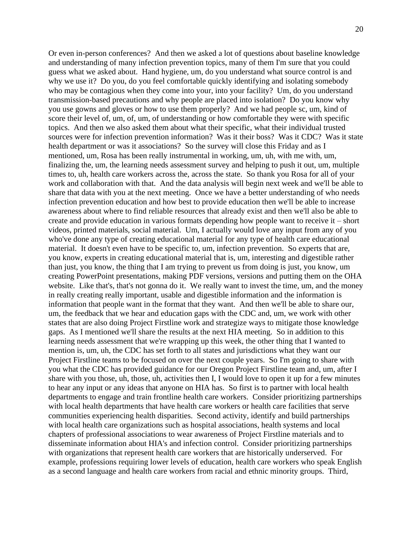Or even in-person conferences? And then we asked a lot of questions about baseline knowledge and understanding of many infection prevention topics, many of them I'm sure that you could guess what we asked about. Hand hygiene, um, do you understand what source control is and why we use it? Do you, do you feel comfortable quickly identifying and isolating somebody who may be contagious when they come into your, into your facility? Um, do you understand transmission-based precautions and why people are placed into isolation? Do you know why you use gowns and gloves or how to use them properly? And we had people sc, um, kind of score their level of, um, of, um, of understanding or how comfortable they were with specific topics. And then we also asked them about what their specific, what their individual trusted sources were for infection prevention information? Was it their boss? Was it CDC? Was it state health department or was it associations? So the survey will close this Friday and as I mentioned, um, Rosa has been really instrumental in working, um, uh, with me with, um, finalizing the, um, the learning needs assessment survey and helping to push it out, um, multiple times to, uh, health care workers across the, across the state. So thank you Rosa for all of your work and collaboration with that. And the data analysis will begin next week and we'll be able to share that data with you at the next meeting. Once we have a better understanding of who needs infection prevention education and how best to provide education then we'll be able to increase awareness about where to find reliable resources that already exist and then we'll also be able to create and provide education in various formats depending how people want to receive it – short videos, printed materials, social material. Um, I actually would love any input from any of you who've done any type of creating educational material for any type of health care educational material. It doesn't even have to be specific to, um, infection prevention. So experts that are, you know, experts in creating educational material that is, um, interesting and digestible rather than just, you know, the thing that I am trying to prevent us from doing is just, you know, um creating PowerPoint presentations, making PDF versions, versions and putting them on the OHA website. Like that's, that's not gonna do it. We really want to invest the time, um, and the money in really creating really important, usable and digestible information and the information is information that people want in the format that they want. And then we'll be able to share our, um, the feedback that we hear and education gaps with the CDC and, um, we work with other states that are also doing Project Firstline work and strategize ways to mitigate those knowledge gaps. As I mentioned we'll share the results at the next HIA meeting. So in addition to this learning needs assessment that we're wrapping up this week, the other thing that I wanted to mention is, um, uh, the CDC has set forth to all states and jurisdictions what they want our Project Firstline teams to be focused on over the next couple years. So I'm going to share with you what the CDC has provided guidance for our Oregon Project Firstline team and, um, after I share with you those, uh, those, uh, activities then I, I would love to open it up for a few minutes to hear any input or any ideas that anyone on HIA has. So first is to partner with local health departments to engage and train frontline health care workers. Consider prioritizing partnerships with local health departments that have health care workers or health care facilities that serve communities experiencing health disparities. Second activity, identify and build partnerships with local health care organizations such as hospital associations, health systems and local chapters of professional associations to wear awareness of Project Firstline materials and to disseminate information about HIA's and infection control. Consider prioritizing partnerships with organizations that represent health care workers that are historically underserved. For example, professions requiring lower levels of education, health care workers who speak English as a second language and health care workers from racial and ethnic minority groups. Third,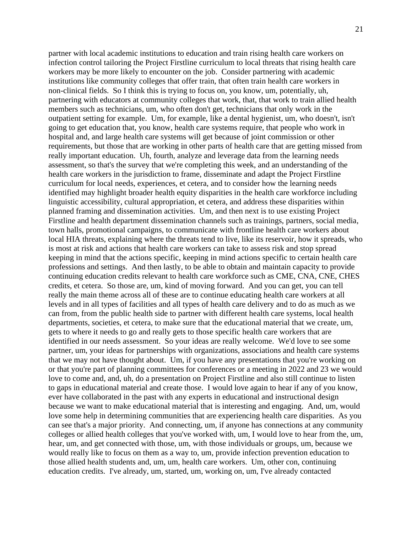partner with local academic institutions to education and train rising health care workers on infection control tailoring the Project Firstline curriculum to local threats that rising health care workers may be more likely to encounter on the job. Consider partnering with academic institutions like community colleges that offer train, that often train health care workers in non-clinical fields. So I think this is trying to focus on, you know, um, potentially, uh, partnering with educators at community colleges that work, that, that work to train allied health members such as technicians, um, who often don't get, technicians that only work in the outpatient setting for example. Um, for example, like a dental hygienist, um, who doesn't, isn't going to get education that, you know, health care systems require, that people who work in hospital and, and large health care systems will get because of joint commission or other requirements, but those that are working in other parts of health care that are getting missed from really important education. Uh, fourth, analyze and leverage data from the learning needs assessment, so that's the survey that we're completing this week, and an understanding of the health care workers in the jurisdiction to frame, disseminate and adapt the Project Firstline curriculum for local needs, experiences, et cetera, and to consider how the learning needs identified may highlight broader health equity disparities in the health care workforce including linguistic accessibility, cultural appropriation, et cetera, and address these disparities within planned framing and dissemination activities. Um, and then next is to use existing Project Firstline and health department dissemination channels such as trainings, partners, social media, town halls, promotional campaigns, to communicate with frontline health care workers about local HIA threats, explaining where the threats tend to live, like its reservoir, how it spreads, who is most at risk and actions that health care workers can take to assess risk and stop spread keeping in mind that the actions specific, keeping in mind actions specific to certain health care professions and settings. And then lastly, to be able to obtain and maintain capacity to provide continuing education credits relevant to health care workforce such as CME, CNA, CNE, CHES credits, et cetera. So those are, um, kind of moving forward. And you can get, you can tell really the main theme across all of these are to continue educating health care workers at all levels and in all types of facilities and all types of health care delivery and to do as much as we can from, from the public health side to partner with different health care systems, local health departments, societies, et cetera, to make sure that the educational material that we create, um, gets to where it needs to go and really gets to those specific health care workers that are identified in our needs assessment. So your ideas are really welcome. We'd love to see some partner, um, your ideas for partnerships with organizations, associations and health care systems that we may not have thought about. Um, if you have any presentations that you're working on or that you're part of planning committees for conferences or a meeting in 2022 and 23 we would love to come and, and, uh, do a presentation on Project Firstline and also still continue to listen to gaps in educational material and create those. I would love again to hear if any of you know, ever have collaborated in the past with any experts in educational and instructional design because we want to make educational material that is interesting and engaging. And, um, would love some help in determining communities that are experiencing health care disparities. As you can see that's a major priority. And connecting, um, if anyone has connections at any community colleges or allied health colleges that you've worked with, um, I would love to hear from the, um, hear, um, and get connected with those, um, with those individuals or groups, um, because we would really like to focus on them as a way to, um, provide infection prevention education to those allied health students and, um, um, health care workers. Um, other con, continuing education credits. I've already, um, started, um, working on, um, I've already contacted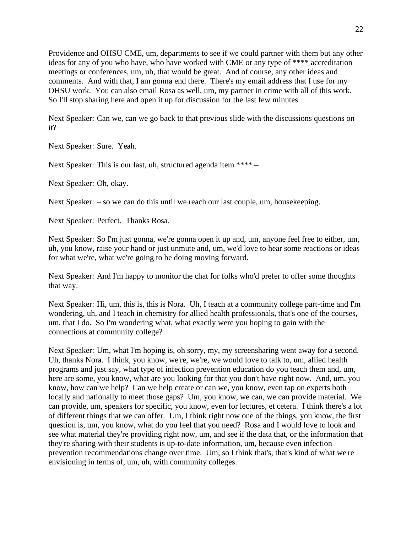Providence and OHSU CME, um, departments to see if we could partner with them but any other ideas for any of you who have, who have worked with CME or any type of \*\*\*\* accreditation meetings or conferences, um, uh, that would be great. And of course, any other ideas and comments. And with that, I am gonna end there. There's my email address that I use for my OHSU work. You can also email Rosa as well, um, my partner in crime with all of this work. So I'll stop sharing here and open it up for discussion for the last few minutes.

Next Speaker: Can we, can we go back to that previous slide with the discussions questions on it?

Next Speaker: Sure. Yeah.

Next Speaker: This is our last, uh, structured agenda item \*\*\*\* –

Next Speaker: Oh, okay.

Next Speaker: – so we can do this until we reach our last couple, um, house keeping.

Next Speaker: Perfect. Thanks Rosa.

Next Speaker: So I'm just gonna, we're gonna open it up and, um, anyone feel free to either, um, uh, you know, raise your hand or just unmute and, um, we'd love to hear some reactions or ideas for what we're, what we're going to be doing moving forward.

Next Speaker: And I'm happy to monitor the chat for folks who'd prefer to offer some thoughts that way.

Next Speaker: Hi, um, this is, this is Nora. Uh, I teach at a community college part-time and I'm wondering, uh, and I teach in chemistry for allied health professionals, that's one of the courses, um, that I do. So I'm wondering what, what exactly were you hoping to gain with the connections at community college?

Next Speaker: Um, what I'm hoping is, oh sorry, my, my screensharing went away for a second. Uh, thanks Nora. I think, you know, we're, we're, we would love to talk to, um, allied health programs and just say, what type of infection prevention education do you teach them and, um, here are some, you know, what are you looking for that you don't have right now. And, um, you know, how can we help? Can we help create or can we, you know, even tap on experts both locally and nationally to meet those gaps? Um, you know, we can, we can provide material. We can provide, um, speakers for specific, you know, even for lectures, et cetera. I think there's a lot of different things that we can offer. Um, I think right now one of the things, you know, the first question is, um, you know, what do you feel that you need? Rosa and I would love to look and see what material they're providing right now, um, and see if the data that, or the information that they're sharing with their students is up-to-date information, um, because even infection prevention recommendations change over time. Um, so I think that's, that's kind of what we're envisioning in terms of, um, uh, with community colleges.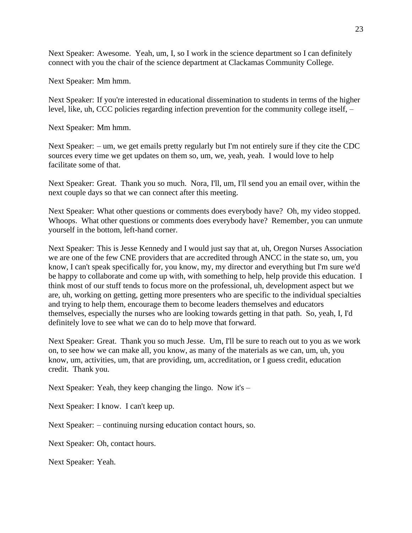Next Speaker: Awesome. Yeah, um, I, so I work in the science department so I can definitely connect with you the chair of the science department at Clackamas Community College.

Next Speaker: Mm hmm.

Next Speaker: If you're interested in educational dissemination to students in terms of the higher level, like, uh, CCC policies regarding infection prevention for the community college itself, –

Next Speaker: Mm hmm.

Next Speaker: – um, we get emails pretty regularly but I'm not entirely sure if they cite the CDC sources every time we get updates on them so, um, we, yeah, yeah. I would love to help facilitate some of that.

Next Speaker: Great. Thank you so much. Nora, I'll, um, I'll send you an email over, within the next couple days so that we can connect after this meeting.

Next Speaker: What other questions or comments does everybody have? Oh, my video stopped. Whoops. What other questions or comments does everybody have? Remember, you can unmute yourself in the bottom, left-hand corner.

Next Speaker: This is Jesse Kennedy and I would just say that at, uh, Oregon Nurses Association we are one of the few CNE providers that are accredited through ANCC in the state so, um, you know, I can't speak specifically for, you know, my, my director and everything but I'm sure we'd be happy to collaborate and come up with, with something to help, help provide this education. I think most of our stuff tends to focus more on the professional, uh, development aspect but we are, uh, working on getting, getting more presenters who are specific to the individual specialties and trying to help them, encourage them to become leaders themselves and educators themselves, especially the nurses who are looking towards getting in that path. So, yeah, I, I'd definitely love to see what we can do to help move that forward.

Next Speaker: Great. Thank you so much Jesse. Um, I'll be sure to reach out to you as we work on, to see how we can make all, you know, as many of the materials as we can, um, uh, you know, um, activities, um, that are providing, um, accreditation, or I guess credit, education credit. Thank you.

Next Speaker: Yeah, they keep changing the lingo. Now it's –

Next Speaker: I know. I can't keep up.

Next Speaker: – continuing nursing education contact hours, so.

Next Speaker: Oh, contact hours.

Next Speaker: Yeah.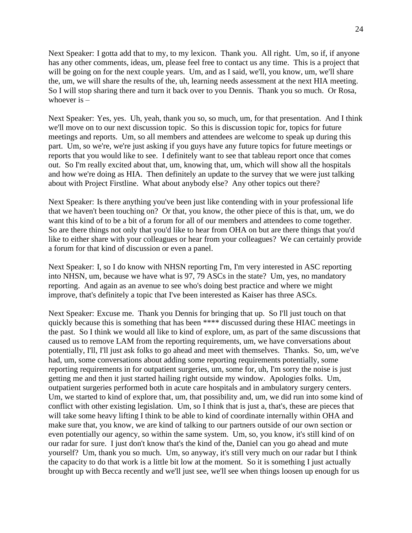Next Speaker: I gotta add that to my, to my lexicon. Thank you. All right. Um, so if, if anyone has any other comments, ideas, um, please feel free to contact us any time. This is a project that will be going on for the next couple years. Um, and as I said, we'll, you know, um, we'll share the, um, we will share the results of the, uh, learning needs assessment at the next HIA meeting. So I will stop sharing there and turn it back over to you Dennis. Thank you so much. Or Rosa, whoever is –

Next Speaker: Yes, yes. Uh, yeah, thank you so, so much, um, for that presentation. And I think we'll move on to our next discussion topic. So this is discussion topic for, topics for future meetings and reports. Um, so all members and attendees are welcome to speak up during this part. Um, so we're, we're just asking if you guys have any future topics for future meetings or reports that you would like to see. I definitely want to see that tableau report once that comes out. So I'm really excited about that, um, knowing that, um, which will show all the hospitals and how we're doing as HIA. Then definitely an update to the survey that we were just talking about with Project Firstline. What about anybody else? Any other topics out there?

Next Speaker: Is there anything you've been just like contending with in your professional life that we haven't been touching on? Or that, you know, the other piece of this is that, um, we do want this kind of to be a bit of a forum for all of our members and attendees to come together. So are there things not only that you'd like to hear from OHA on but are there things that you'd like to either share with your colleagues or hear from your colleagues? We can certainly provide a forum for that kind of discussion or even a panel.

Next Speaker: I, so I do know with NHSN reporting I'm, I'm very interested in ASC reporting into NHSN, um, because we have what is 97, 79 ASCs in the state? Um, yes, no mandatory reporting. And again as an avenue to see who's doing best practice and where we might improve, that's definitely a topic that I've been interested as Kaiser has three ASCs.

Next Speaker: Excuse me. Thank you Dennis for bringing that up. So I'll just touch on that quickly because this is something that has been \*\*\*\* discussed during these HIAC meetings in the past. So I think we would all like to kind of explore, um, as part of the same discussions that caused us to remove LAM from the reporting requirements, um, we have conversations about potentially, I'll, I'll just ask folks to go ahead and meet with themselves. Thanks. So, um, we've had, um, some conversations about adding some reporting requirements potentially, some reporting requirements in for outpatient surgeries, um, some for, uh, I'm sorry the noise is just getting me and then it just started hailing right outside my window. Apologies folks. Um, outpatient surgeries performed both in acute care hospitals and in ambulatory surgery centers. Um, we started to kind of explore that, um, that possibility and, um, we did run into some kind of conflict with other existing legislation. Um, so I think that is just a, that's, these are pieces that will take some heavy lifting I think to be able to kind of coordinate internally within OHA and make sure that, you know, we are kind of talking to our partners outside of our own section or even potentially our agency, so within the same system. Um, so, you know, it's still kind of on our radar for sure. I just don't know that's the kind of the, Daniel can you go ahead and mute yourself? Um, thank you so much. Um, so anyway, it's still very much on our radar but I think the capacity to do that work is a little bit low at the moment. So it is something I just actually brought up with Becca recently and we'll just see, we'll see when things loosen up enough for us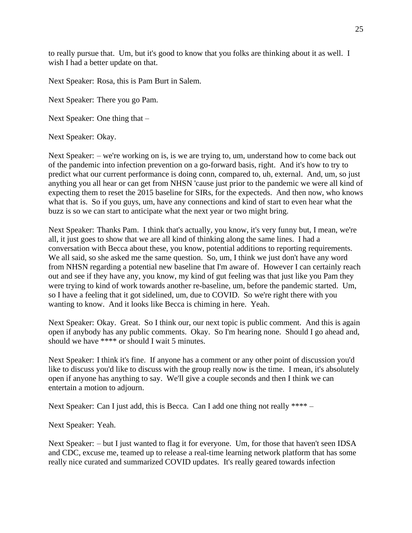to really pursue that. Um, but it's good to know that you folks are thinking about it as well. I wish I had a better update on that.

Next Speaker: Rosa, this is Pam Burt in Salem.

Next Speaker: There you go Pam.

Next Speaker: One thing that –

Next Speaker: Okay.

Next Speaker: – we're working on is, is we are trying to, um, understand how to come back out of the pandemic into infection prevention on a go-forward basis, right. And it's how to try to predict what our current performance is doing conn, compared to, uh, external. And, um, so just anything you all hear or can get from NHSN 'cause just prior to the pandemic we were all kind of expecting them to reset the 2015 baseline for SIRs, for the expecteds. And then now, who knows what that is. So if you guys, um, have any connections and kind of start to even hear what the buzz is so we can start to anticipate what the next year or two might bring.

Next Speaker: Thanks Pam. I think that's actually, you know, it's very funny but, I mean, we're all, it just goes to show that we are all kind of thinking along the same lines. I had a conversation with Becca about these, you know, potential additions to reporting requirements. We all said, so she asked me the same question. So, um, I think we just don't have any word from NHSN regarding a potential new baseline that I'm aware of. However I can certainly reach out and see if they have any, you know, my kind of gut feeling was that just like you Pam they were trying to kind of work towards another re-baseline, um, before the pandemic started. Um, so I have a feeling that it got sidelined, um, due to COVID. So we're right there with you wanting to know. And it looks like Becca is chiming in here. Yeah.

Next Speaker: Okay. Great. So I think our, our next topic is public comment. And this is again open if anybody has any public comments. Okay. So I'm hearing none. Should I go ahead and, should we have \*\*\*\* or should I wait 5 minutes.

Next Speaker: I think it's fine. If anyone has a comment or any other point of discussion you'd like to discuss you'd like to discuss with the group really now is the time. I mean, it's absolutely open if anyone has anything to say. We'll give a couple seconds and then I think we can entertain a motion to adjourn.

Next Speaker: Can I just add, this is Becca. Can I add one thing not really \*\*\*\* –

Next Speaker: Yeah.

Next Speaker: – but I just wanted to flag it for everyone. Um, for those that haven't seen IDSA and CDC, excuse me, teamed up to release a real-time learning network platform that has some really nice curated and summarized COVID updates. It's really geared towards infection